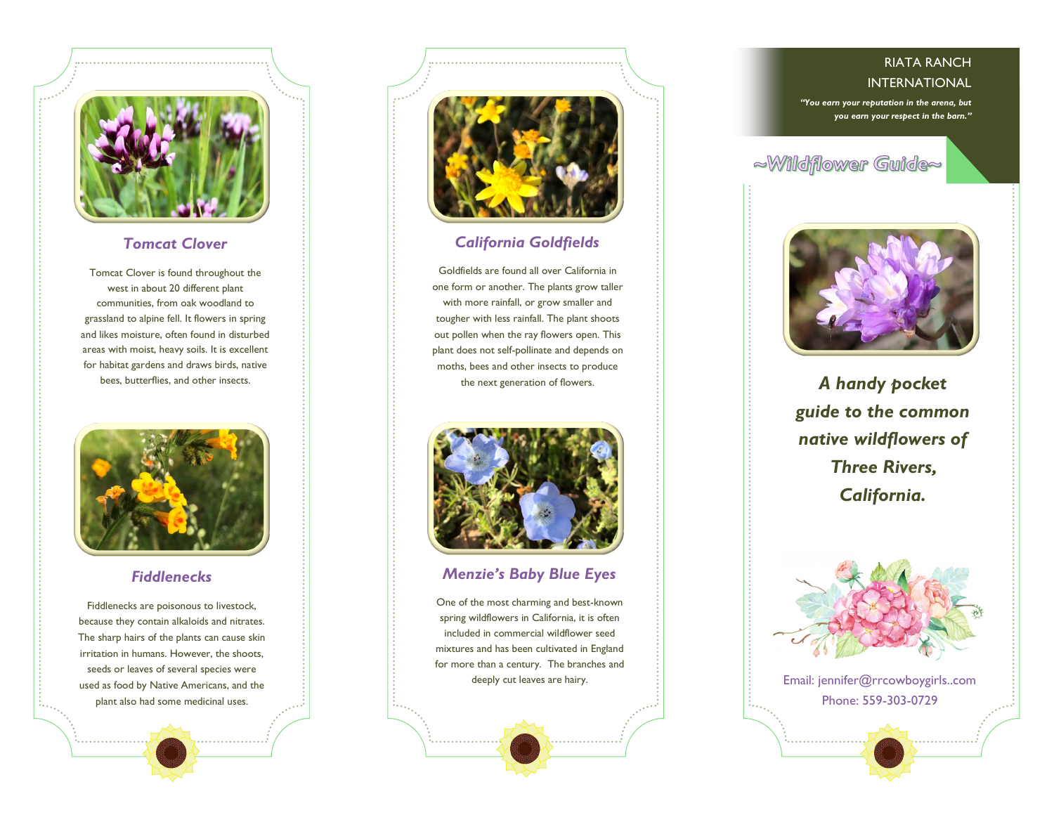

#### *Tomcat Clover*

Tomcat Clover is found throughout the west in about 20 different plant communities, from oak woodland to grassland to alpine fell. It flowers in spring and likes moisture, often found in disturbed areas with moist, heavy soils. It is excellent for habitat gardens and draws birds, native bees, butterflies, and other insects.



#### *Fiddlenecks*

Fiddlenecks are poisonous to [livestock,](https://en.wikipedia.org/wiki/Livestock)  because they contain [alkaloids](https://en.wikipedia.org/wiki/Alkaloid) and [nitrates.](https://en.wikipedia.org/wiki/Nitrate) The sharp hairs of the plants can cause skin irritation in humans. However, the shoots, seeds or leaves of several species were used as food by [Native Americans,](https://en.wikipedia.org/wiki/Indigenous_peoples_of_the_Americas) and the plant also had some [medicinal uses.](https://en.wikipedia.org/wiki/Medicinal_plants)



#### *California Goldfields*

Goldfields are found all over California in one form or another. The plants grow taller with more rainfall, or grow smaller and tougher with less rainfall. The plant shoots out pollen when the ray flowers open. This plant does not self-pollinate and depends on moths, bees and other insects to produce the next generation of flowers.



#### *Menzie's Baby Blue Eyes*

One of the most charming and best-known spring wildflowers in California, it is often included in commercial wildflower seed mixtures and has been cultivated in England for more than a century. The branches and deeply cut leaves are hairy.

#### RIATA RANCH INTERNATIONAL

*"You earn your reputation in the arena, but you earn your respect in the barn."*

# ~Wildflower Guide~



*A handy pocket guide to the common native wildflowers of Three Rivers, California.*



Email: jennifer@rrcowboygirls..com Phone: 559-303-0729